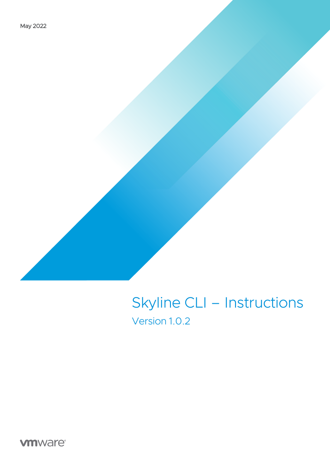# Skyline CLI – Instructions Version 1.0.2

**vm**ware<sup>®</sup>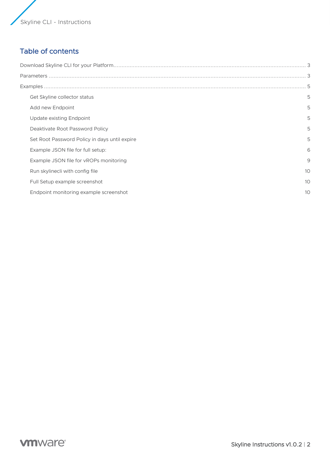# Table of contents

| Get Skyline collector status                  | 5  |
|-----------------------------------------------|----|
| Add new Endpoint                              | 5  |
| Update existing Endpoint                      | 5  |
| Deaktivate Root Password Policy               | 5  |
| Set Root Password Policy in days until expire | 5  |
| Example JSON file for full setup:             | 6  |
| Example JSON file for vROPs monitoring        | 9  |
| Run skylinecli with config file               | 10 |
| Full Setup example screenshot                 | 10 |
| Endpoint monitoring example screenshot        | 10 |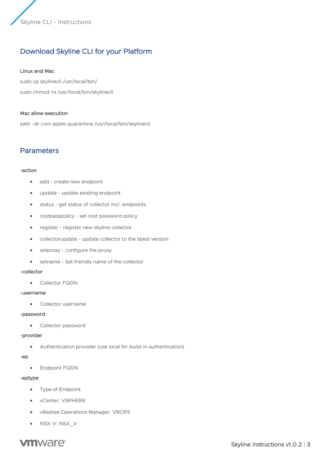# Download Skyline CLI for your Platform

#### Linux and Mac

sudo cp skylinecli /usr/local/bin/ sudo chmod +x /usr/local/bin/skylinecli

#### Mac allow execution

xattr -dr com.apple.quarantine /usr/local/bin/skylinecli

# Parameters

#### -action

- add create new endpoint
- update update existing endpoint
- status get status of collector incl. endpoints
- rootpasspolicy set root password policy
- register register new skyline collector
- collectorupdate update collector to the latest version
- setproxy configure the proxy
- setname Set friendly name of the collector

#### -collector

• Collector FQDN

#### -username

• Collector username

#### -password

• Collector password

#### -provider

• Authentication provider (use local for build-in authentication)

#### -ep

• Endpoint FQDN

#### -eptype

- Type of Endpoint
- vCenter: VSPHERE
- vRealize Operations Manager: VROPS
- NSX-V: NSX\_V

# **vm**ware<sup>®</sup>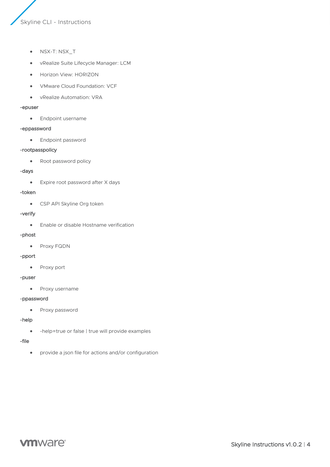- NSX-T: NSX\_T
- vRealize Suite Lifecycle Manager: LCM
- Horizon View: HORIZON
- VMware Cloud Foundation: VCF
- vRealize Automation: VRA

#### -epuser

• Endpoint username

#### -eppassword

• Endpoint password

#### -rootpasspolicy

• Root password policy

#### -days

• Expire root password after X days

#### -token

• CSP API Skyline Org token

#### -verify

• Enable or disable Hostname verification

#### -phost

• Proxy FQDN

#### -pport

• Proxy port

#### -puser

• Proxy username

#### -ppassword

• Proxy password

#### -help

• -help=true or false | true will provide examples

#### -file

• provide a json file for actions and/or configuration

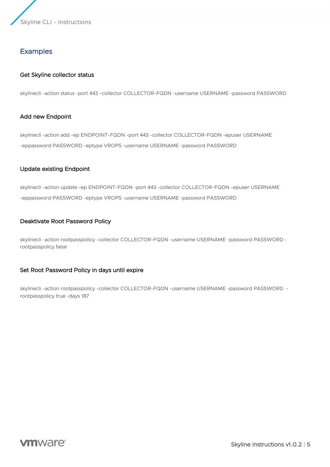# **Examples**

#### Get Skyline collector status

skylinecli -action status -port 443 -collector COLLECTOR-FQDN -username USERNAME -password PASSWORD

#### Add new Endpoint

skylinecli -action add -ep ENDPOINT-FQDN -port 443 -collector COLLECTOR-FQDN -epuser USERNAME -eppassword PASSWORD -eptype VROPS -username USERNAME -password PASSWORD

#### Update existing Endpoint

skylinecli -action update -ep ENDPOINT-FQDN -port 443 -collector COLLECTOR-FQDN -epuser USERNAME -eppassword PASSWORD -eptype VROPS -username USERNAME -password PASSWORD

#### Deaktivate Root Password Policy

skylinecli -action rootpasspolicy -collector COLLECTOR-FQDN -username USERNAME -password PASSWORD rootpasspolicy false

#### Set Root Password Policy in days until expire

skylinecli -action rootpasspolicy -collector COLLECTOR-FQDN -username USERNAME -password PASSWORD rootpasspolicy true -days 187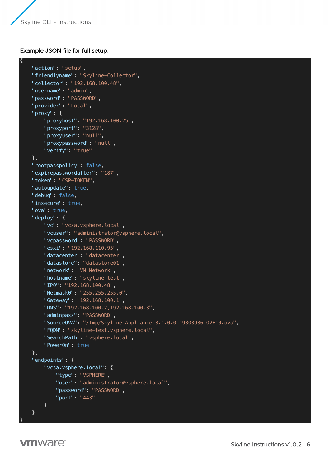{

## Example JSON file for full setup:

```
 "action": "setup",
 "friendlyname": "Skyline-Collector",
 "collector": "192.168.100.48",
 "username": "admin",
 "password": "PASSWORD",
 "provider": "Local",
 "proxy": {
     "proxyhost": "192.168.100.25",
     "proxyport": "3128",
     "proxyuser": "null",
     "proxypassword": "null",
     "verify": "true"
 },
 "rootpasspolicy": false,
 "expirepasswordafter": "187",
"token": "CSP-TOKEN",
 "autoupdate": true,
 "debug": false,
 "insecure": true,
 "ova": true,
 "deploy": {
     "vc": "vcsa.vsphere.local",
     "vcuser": "administrator@vsphere.local",
     "vcpassword": "PASSWORD",
     "esxi": "192.168.110.95",
     "datacenter": "datacenter",
     "datastore": "datastore01",
    "network": "VM Network",
     "hostname": "skyline-test",
    "IP0": "192.168.100.48",
     "Netmask0": "255.255.255.0",
     "Gateway": "192.168.100.1",
     "DNS": "192.168.100.2,192.168.100.3",
     "adminpass": "PASSWORD",
     "SourceOVA": "/tmp/Skyline-Appliance-3.1.0.0-19303936_OVF10.ova",
     "FQDN": "skyline-test.vsphere.local",
    "SearchPath": "vsphere.local",
     "PowerOn": true
 },
 "endpoints": {
     "vcsa.vsphere.local": {
         "type": "VSPHERE",
         "user": "administrator@vsphere.local",
         "password": "PASSWORD",
         "port": "443"
     }
 }
```
**vm**ware<sup>®</sup>

}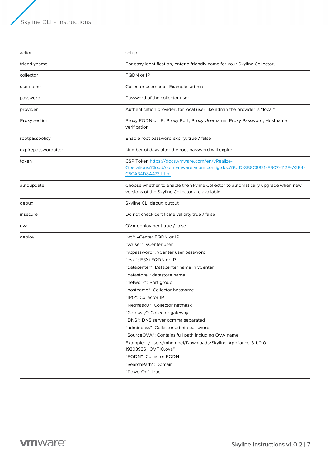| action              | setup                                                                                                                                                                                                                                                                                                                                                                                                                                                                                                                                                                                                                                               |
|---------------------|-----------------------------------------------------------------------------------------------------------------------------------------------------------------------------------------------------------------------------------------------------------------------------------------------------------------------------------------------------------------------------------------------------------------------------------------------------------------------------------------------------------------------------------------------------------------------------------------------------------------------------------------------------|
| friendlyname        | For easy identification, enter a friendly name for your Skyline Collector.                                                                                                                                                                                                                                                                                                                                                                                                                                                                                                                                                                          |
| collector           | FQDN or IP                                                                                                                                                                                                                                                                                                                                                                                                                                                                                                                                                                                                                                          |
| username            | Collector username, Example: admin                                                                                                                                                                                                                                                                                                                                                                                                                                                                                                                                                                                                                  |
| password            | Password of the collector user                                                                                                                                                                                                                                                                                                                                                                                                                                                                                                                                                                                                                      |
| provider            | Authentication provider, for local user like admin the provider is "local"                                                                                                                                                                                                                                                                                                                                                                                                                                                                                                                                                                          |
| Proxy section       | Proxy FQDN or IP, Proxy Port, Proxy Username, Proxy Password, Hostname<br>verification                                                                                                                                                                                                                                                                                                                                                                                                                                                                                                                                                              |
| rootpasspolicy      | Enable root password expiry: true / false                                                                                                                                                                                                                                                                                                                                                                                                                                                                                                                                                                                                           |
| expirepasswordafter | Number of days after the root password will expire                                                                                                                                                                                                                                                                                                                                                                                                                                                                                                                                                                                                  |
| token               | CSP Token https://docs.vmware.com/en/vRealize-<br>Operations/Cloud/com.vmware.vcom.config.doc/GUID-3B8C8821-FB07-412F-A2E4-<br>C5CA34D8A473.html                                                                                                                                                                                                                                                                                                                                                                                                                                                                                                    |
| autoupdate          | Choose whether to enable the Skyline Collector to automatically upgrade when new<br>versions of the Skyline Collector are available.                                                                                                                                                                                                                                                                                                                                                                                                                                                                                                                |
| debug               | Skyline CLI debug output                                                                                                                                                                                                                                                                                                                                                                                                                                                                                                                                                                                                                            |
| insecure            | Do not check certificate validity true / false                                                                                                                                                                                                                                                                                                                                                                                                                                                                                                                                                                                                      |
| ova                 | OVA deployment true / false                                                                                                                                                                                                                                                                                                                                                                                                                                                                                                                                                                                                                         |
| deploy              | "vc": vCenter FQDN or IP<br>"vcuser": vCenter user<br>"vcpassword": vCenter user password<br>"esxi": ESXi FQDN or IP<br>"datacenter": Datacenter name in vCenter<br>"datastore": datastore name<br>"network": Port group<br>"hostname": Collector hostname<br>"IPO": Collector IP<br>"NetmaskO": Collector netmask<br>"Gateway": Collector gateway<br>"DNS": DNS server comma separated<br>"adminpass": Collector admin password<br>"SourceOVA": Contains full path including OVA name<br>Example: "/Users/mhempel/Downloads/Skyline-Appliance-3.1.0.0-<br>19303936_OVF10.ova"<br>"FQDN": Collector FQDN<br>"SearchPath": Domain<br>"PowerOn": true |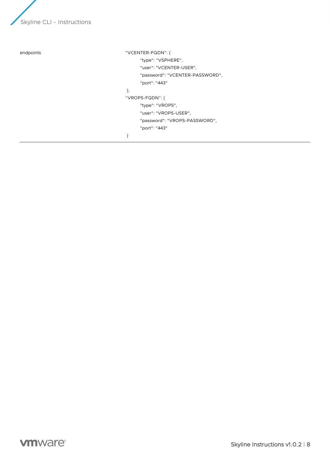

```
endpoints "VCENTER-FQDN": {
                                            "type": "VSPHERE",
                                            "user": "VCENTER-USER",
                                            "password": "VCENTER-PASSWORD",
                                            "port": "443"
                                      },
                                      "VROPS-FQDN": {
                                            "type": "VROPS",
                                            "user": "VROPS-USER",
                                            "password": "VROPS-PASSWORD",
                                            "port": "443"
                                      }
```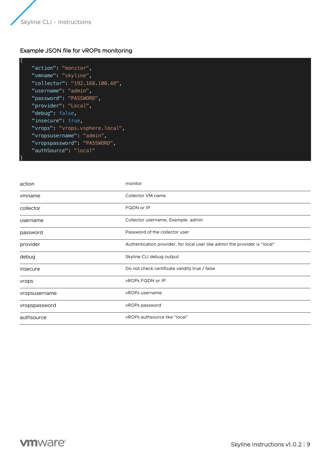{

}

### Example JSON file for vROPs monitoring

```
 "action": "monitor",
 "vmname": "skyline",
 "collector": "192.168.100.48",
"username": "admin",
 "password": "PASSWORD",
 "provider": "Local",
 "debug": false,
"insecure": true,
 "vrops": "vrops.vsphere.local",
 "vropsusername": "admin",
 "vropspassword": "PASSWORD",
 "authSource": "local"
```

| action        | monitor                                                                    |
|---------------|----------------------------------------------------------------------------|
| vmname        | Collector VM name                                                          |
| collector     | FQDN or IP                                                                 |
| username      | Collector username, Example: admin                                         |
| password      | Password of the collector user                                             |
| provider      | Authentication provider, for local user like admin the provider is "local" |
| debug         | Skyline CLI debug output                                                   |
| insecure      | Do not check certificate validity true / false                             |
| vrops         | <b>VROPS FQDN or IP</b>                                                    |
| vropsusername | vROPs username                                                             |
| vropspassword | vROPs password                                                             |
| authsource    | vROPs authsource like "local"                                              |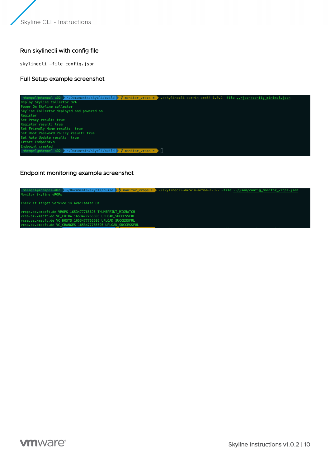# Run skylinecli with config file

skylinecli -file config.json

#### Full Setup example screenshot



#### Endpoint monitoring example screenshot

# skylinecli-darwin-arm64-1.0.2 -file ../json/config\_monitor\_vrops.js Monitor Skyline vROPs Check if Target Service is available: OK rops.oz.xmsoft.de VROPS 1653477765695 THUMBPRINT\_MISMATCH